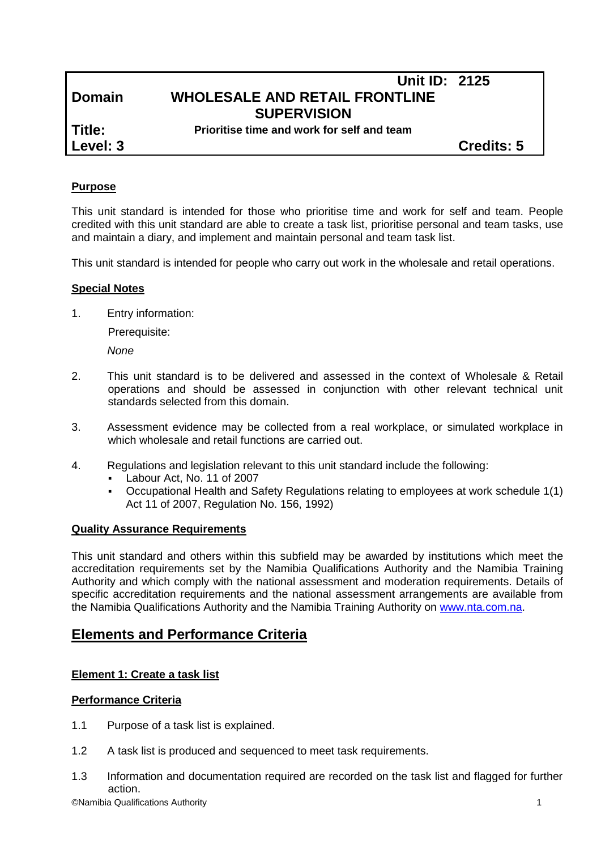# **Unit ID: 2125 Domain WHOLESALE AND RETAIL FRONTLINE SUPERVISION**

**Title: Prioritise time and work for self and team**

**Level: 3 Credits: 5**

# **Purpose**

This unit standard is intended for those who prioritise time and work for self and team. People credited with this unit standard are able to create a task list, prioritise personal and team tasks, use and maintain a diary, and implement and maintain personal and team task list.

This unit standard is intended for people who carry out work in the wholesale and retail operations.

# **Special Notes**

1. Entry information:

Prerequisite:

*None*

- 2. This unit standard is to be delivered and assessed in the context of Wholesale & Retail operations and should be assessed in conjunction with other relevant technical unit standards selected from this domain.
- 3. Assessment evidence may be collected from a real workplace, or simulated workplace in which wholesale and retail functions are carried out.
- 4. Regulations and legislation relevant to this unit standard include the following:
	- Labour Act, No. 11 of 2007
	- Occupational Health and Safety Regulations relating to employees at work schedule 1(1) Act 11 of 2007, Regulation No. 156, 1992)

# **Quality Assurance Requirements**

This unit standard and others within this subfield may be awarded by institutions which meet the accreditation requirements set by the Namibia Qualifications Authority and the Namibia Training Authority and which comply with the national assessment and moderation requirements. Details of specific accreditation requirements and the national assessment arrangements are available from the Namibia Qualifications Authority and the Namibia Training Authority on [www.nta.com.na.](http://www.nta.com.na/)

# **Elements and Performance Criteria**

# **Element 1: Create a task list**

#### **Performance Criteria**

- 1.1 Purpose of a task list is explained.
- 1.2 A task list is produced and sequenced to meet task requirements.
- ©Namibia Qualifications Authority 1 1.3 Information and documentation required are recorded on the task list and flagged for further action.